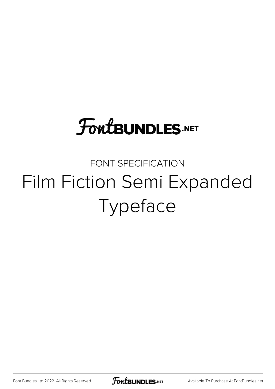### FONT SPECIFICATION Film Fiction Semi Expanded Typeface

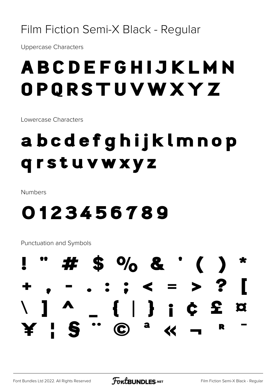#### Film Fiction Semi-X Black - Regular

**Uppercase Characters** 

### ABCDEFGHIJKLMN OPORSTUVWXYZ

Lowercase Characters

### abcdefghijklmnop qrstuvwxyz

**Numbers** 

### 0123456789

Punctuation and Symbols

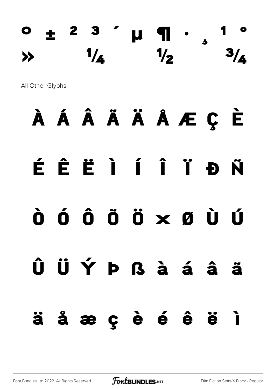### $\pm$  2 3  $\prime$   $\mu$  ¶  $\cdot$  ,  $\frac{1}{4}$   $\frac{1}{2}$   $\frac{3}{4}$

All Other Glyphs

## À Á Â Ã Ä Å Æ Ç È

## É Ê Ë Ì Í Î Ï Ð Ñ

## Ò Ó Ô Õ Ö × Ø Ù Ú

## Û Ü Ý Þ ß à á â ã

ä å æ ç è é ê ë ì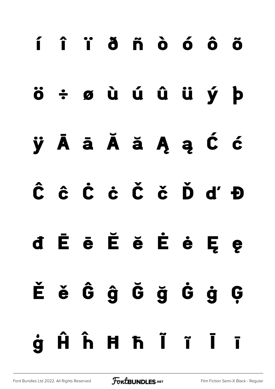# í î ï ð ñ ò ó ô õ ö ÷ ø ù ú û ü ý þ ÿ Ā ā Ă ă Ą ą Ć ć Ĉ ĉ Ċ ċ Č č Ď ď Đ đ Ē ē Ĕ ĕ Ė ė Ę ę Ě ě Ĝ ĝ Ğ ğ Ġ ġ Ģ ģ Ĥ ĥ Ħ ħ Ĩ ĩ Ī ī

[Font Bundles Ltd 2022. All Rights Reserved](https://fontbundles.net/) **FoutBUNDLES.NET** [Film Fiction Semi-X Black - Regular](https://fontbundles.net/)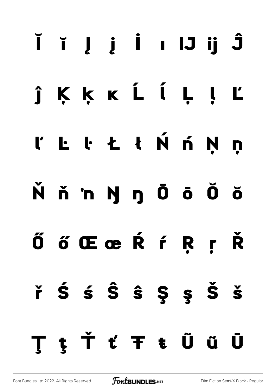# Č i L j İ ı IJ ij Ĵ ĵ K k k L ĺ Ļ ḷ Ľ L ŀ Ł ł Ń ń Ņ n N ň 'n Ŋ ŋ Ō ō Ŏ ŏ ŐőŒœŔŕŖŗ Ŕ  $\check{r}$   $\acute{s}$   $\acute{s}$   $\hat{s}$   $\acute{s}$   $\acute{s}$   $\acute{s}$   $\acute{s}$ ţŤťŦŧŨũŪ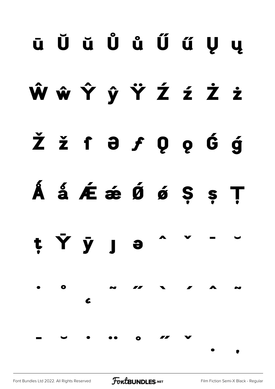# ū Ŭ ŭ Ů ů Ű ű Ų ų ŴŵŶŷŸŹźŻż Žžf∂*f* Q o Ć ģ Å å Æ ǽ Ǿ ǿ S
s
T t Ÿ ÿ J  $\bullet$  $\bullet$  $\epsilon$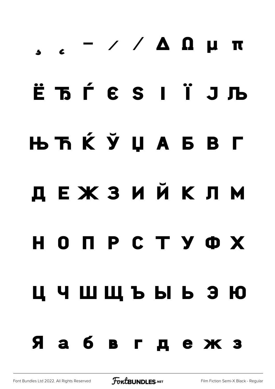# $\alpha$   $\alpha$   $\beta$  μ π Ё Ђ Ѓ Є Ѕ І Ї Ј Љ Њ Ћ Ќ Ў Џ А Б В Г Д Е Ж З И Й К Л М Н О П Р С Т У Ф Х Ц Ч Ш Щ Ъ Ы Ь Э Ю Я а б в г д е ж з

[Font Bundles Ltd 2022. All Rights Reserved](https://fontbundles.net/) **FoutBUNDLES.NET** [Film Fiction Semi-X Black - Regular](https://fontbundles.net/)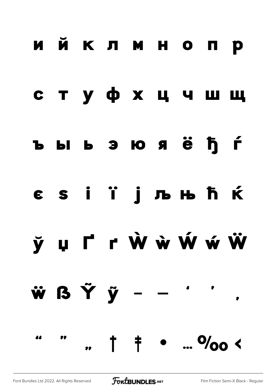### ийклмнопр

#### стуфхцчшщ

#### ъыьэюяёђѓ

### єзії ільнь ћ ќ

## **v** u r r W w W w W

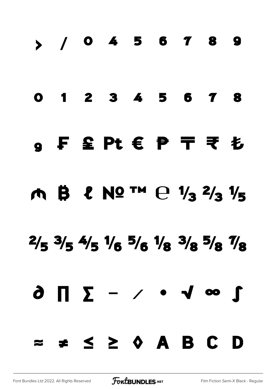# › ⁄ ⁰ ⁴ ⁵ ⁶ ⁷ ⁸ ⁹ O 1 2 3 4 5 6 7 8 ₉ ₣ ₤ ₧ € ₱ ₸ ₹ ₺  $M \oplus \ell N 2^m \oplus \frac{1}{3} \frac{1}{3}$  $2/5$   $3/5$   $4/5$   $1/6$   $5/6$   $1/8$   $3/8$   $5/8$   $1/8$ ∂ ∏ ∑ − ∕ ∙ √ ∞ ∫ ≈ ≠ ≤ ≥ ◊

[Font Bundles Ltd 2022. All Rights Reserved](https://fontbundles.net/) **FoutBUNDLES.NET** [Film Fiction Semi-X Black - Regular](https://fontbundles.net/)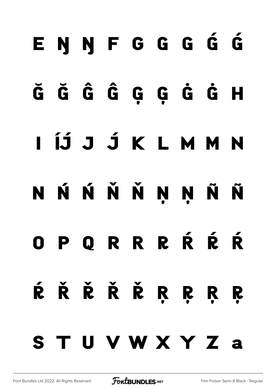# ENNFGGGGG Ă Õ Ô Ô Q Q Ô Ô Đ I ÍJ́ J J́ K L M M N N Ń Ń Ň Ň Ņ Ņ Ñ Ñ OPORRRŔŔŔ ÉŘĚŘĚRRRR S T U V W X Y Z a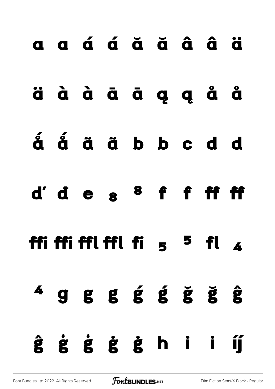# a a á á ă ă â ä äààāāa gąåå á á ã ã b b c d d d'des <sup>8</sup> f f ff ff ffiffifflfflfig  $5$  fl  $\lambda$  $\overline{A}$  g g g g g g g g ĝģģģģhi í í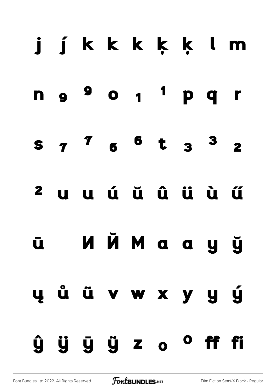# j j k k k k k l m n 9 9 0 1 <sup>1</sup> p q r  $S$   $T$   $S$   $S$   $t$   $s$   $3$   $s$ <sup>2</sup>uuú ŭ û ü ù ű ū ИЙМаауў u ů ũ v w x y y ý  $\hat{y}$   $\hat{y}$   $\hat{y}$   $z$   $\circ$   $^{\circ}$  ff fi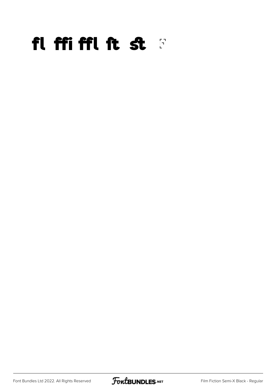### fl ffi ffl ft st

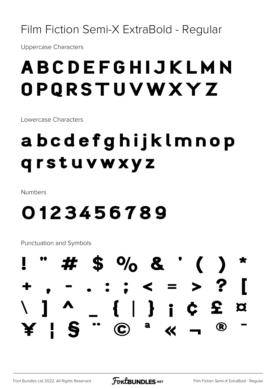#### Film Fiction Semi-X ExtraBold - Regular

**Uppercase Characters** 

### ABCDEFGHIJKLMN OPQRSTUVWXYZ

Lowercase Characters

### abcdefghijklmnop qrstuvwxyz

**Numbers** 

### 0123456789

Punctuation and Symbols

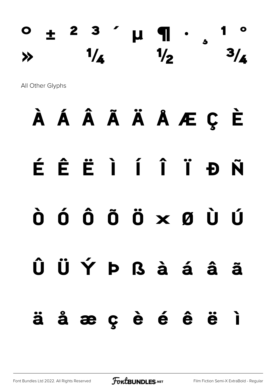### **° ± ² ³ ´ µ ¶ · ¸ ¹ º**  $\frac{1}{4}$   $\frac{1}{2}$   $\frac{3}{4}$

All Other Glyphs

## **À Á Â Ã Ä Å Æ Ç È**

## **É Ê Ë Ì Í Î Ï Ð Ñ**

## **Ò Ó Ô Õ Ö × Ø Ù Ú**

## **Û Ü Ý Þ ß à á â ã**

**ä å æ ç è é ê ë ì**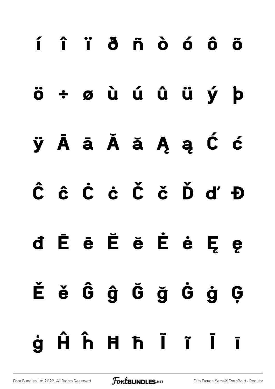# **í î ï ð ñ ò ó ô õ ö ÷ ø ù ú û ü ý þ ÿ Ā ā Ă ă Ą ą Ć ć Ĉ ĉ Ċ ċ Č č Ď ď Đ đ Ē ē Ĕ ĕ Ė ė Ę ę Ě ě Ĝ ĝ Ğ ğ Ġ ġ Ģ ģ Ĥ ĥ Ħ ħ Ĩ ĩ Ī ī**

[Font Bundles Ltd 2022. All Rights Reserved](https://fontbundles.net/) **FoutBUNDLES.NET** [Film Fiction Semi-X ExtraBold - Regular](https://fontbundles.net/)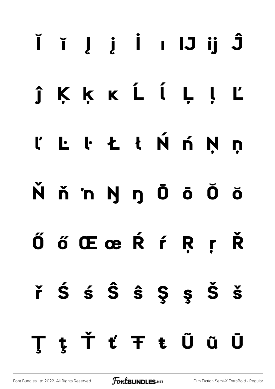# Č i L j İ i IJ ij Ĵ ĵ K K K Ĺ ĺ Ļ ḷ Ľ "LŀŁłŃńŅņ N ň 'n Ŋ ŋ Ō ō Ŏ  $\ddot{\mathbf{o}}$ ŐőŒœŔŕŖŗŘ  $\check{r}$   $\acute{S}$   $\acute{S}$   $\hat{S}$   $\acute{S}$   $\acute{S}$   $\acute{S}$   $\check{S}$   $\check{S}$ ţŤťŦŧŨũŪ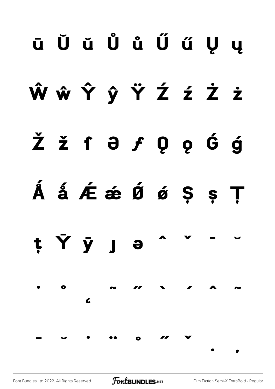# ū Ŭ ŭ Ů ů Ű ű Ų ų ŴŵŶŷŸŹźŻż Žžf∂*f* Q o Ć ģ Á å É æ Ø ø S s Ţ t Ÿ y 」  $\bullet$  $\bullet$  $\overline{\mathbf{c}}$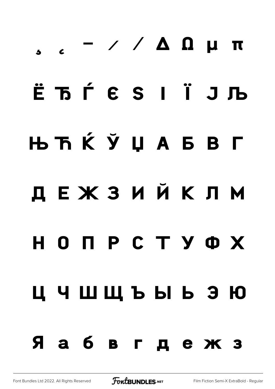# **̧ ̨ ̵ ̷ ̸ Δ Ω μ π Ё Ђ Ѓ Є Ѕ І Ї Ј Љ Њ Ћ Ќ Ў Џ А Б В Г Д Е Ж З И Й К Л М Н О П Р С Т У Ф Х Ц Ч Ш Щ Ъ Ы Ь Э Ю Я а б в г д е ж з**

[Font Bundles Ltd 2022. All Rights Reserved](https://fontbundles.net/) **FoutBUNDLES.NET** [Film Fiction Semi-X ExtraBold - Regular](https://fontbundles.net/)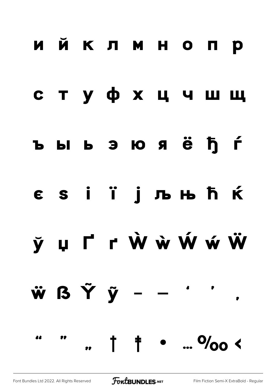#### ийклмнопр

#### стуфхцчшщ

#### ъы ь эю яё ђѓ

### $\epsilon$  s i ï j љ њ ћ ќ

### **y** u r r W w W w W

#### $\ddot{w}$   $\dot{B}$   $\ddot{Y}$   $\ddot{y}$  $\overline{\phantom{a}}$ 88  $1 + \cdot 9/00 <$ 99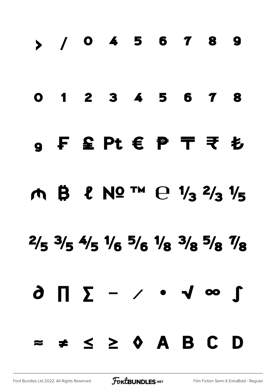# **› ⁄ ⁰ ⁴ ⁵ ⁶ ⁷ ⁸ ⁹ ₀ ₁ ₂ ₃ ₄ ₅ ₆ ₇ ₈ ₉ ₣ ₤ ₧ € ₱ ₸ ₹ ₺ ₼ ₿ ℓ № ™ ℮ ⅓ ⅔ ⅕**  $\frac{2}{5}$   $\frac{3}{5}$   $\frac{4}{5}$   $\frac{1}{6}$   $\frac{5}{6}$   $\frac{1}{8}$   $\frac{3}{8}$   $\frac{5}{8}$   $\frac{7}{8}$ **∂ ∏ ∑ − ∕ ∙ √ ∞ ∫ ≈ ≠ ≤ ≥ ◊**

[Font Bundles Ltd 2022. All Rights Reserved](https://fontbundles.net/) **FoutBUNDLES.NET** [Film Fiction Semi-X ExtraBold - Regular](https://fontbundles.net/)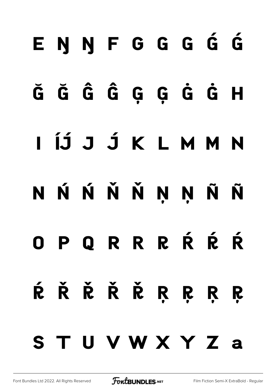# ENNFGGGGG

## Ğ Ğ Ĝ Ĝ Ģ Ģ Ġ Ġ H

## I ÍJ J J K L M M N

## N Ń Ń Ň Ň Ņ Ņ Ñ Ñ

## OPORRRŔŔŔ

# ÉŘŘŘŘRRRR S T U V W X Y Z a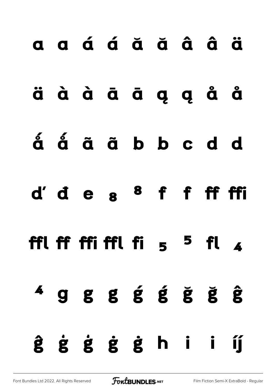# a a á á ă ă â ä äààāāā gąåå á á ã ã b b c d d d'des <sup>8</sup> f f ff ffi ffl ff ffi ffl fi  $5$   $5$  fl  $4$  $4$  g g g g g g g g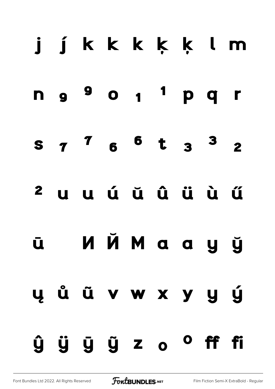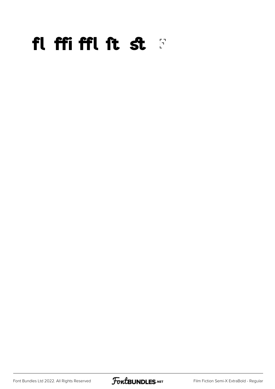### **fl ffi ffl ſt st**

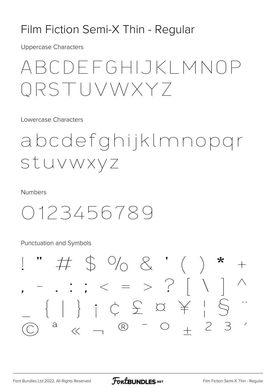#### Film Fiction Semi-X Thin - Regular

**Uppercase Characters** 

### ABCDFFGHIJKI MNOP ORSTUVWXY7

Lowercase Characters

abcdefghijklmnopgr Stuvwxyz

**Numbers** 

0123456789

Punctuation and Symbols

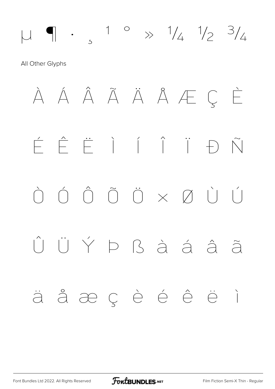

Font Bundles Ltd 2022. All Rights Reserved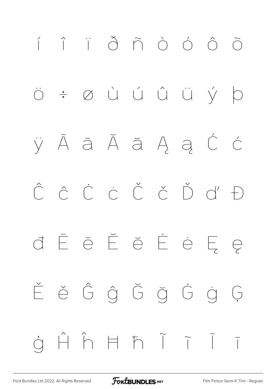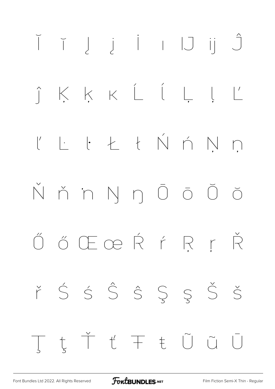$\begin{array}{ccc} \check{\mathsf{I}} & \check{\mathsf{I}} & \mathsf{J} & \dot{\mathsf{J}} & \mathsf{I} & \mathsf{I} & \mathsf{J} & \mathsf{II} & \hat{\mathsf{J}} \end{array}$ ÎKKK L L L L L' L l L l Ń ń Ņ ņ Ňňn N n Ō ō  $\bigcup$  $\bigcirc$ ŐőŒœŔŕŖŗŘ  $\check{r} \; \; \acute{S} \; \; \acute{S} \; \; \acute{S} \; \; \hat{S} \; \; \; \acute{S} \; \; \; \acute{S} \; \; \; \check{S} \; \; \; \check{S}$ t Ť ť Ŧ ŧ Ũ ũ  $\begin{pmatrix} 1 \\ 1 \end{pmatrix}$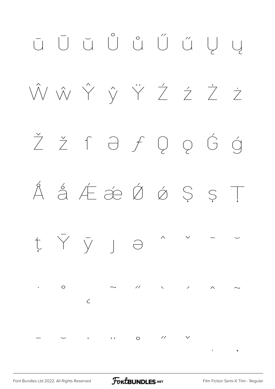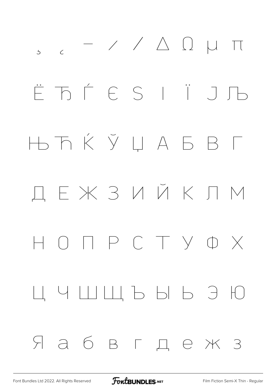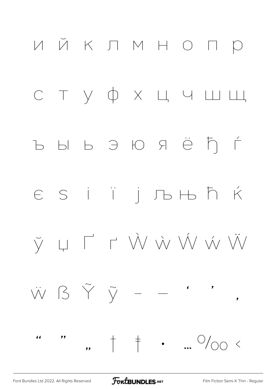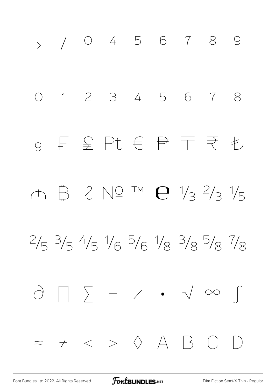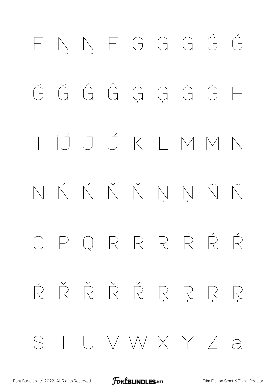# ENNFGGGG  $\begin{array}{ccc} \tilde{G} & \tilde{G} & \hat{G} & \hat{G} & \tilde{G} & \tilde{G} & \tilde{G} & \tilde{H} \end{array}$ ÍĴ J J K L M M N NŃŃŇŇNŅÑÑ OPORRRŔŔ ŔŘŘŘRRRR STUVWXY7a

[Font Bundles Ltd 2022. All Rights Reserved](https://fontbundles.net/) **FoutBUNDLES.NET** [Film Fiction Semi-X Thin - Regular](https://fontbundles.net/)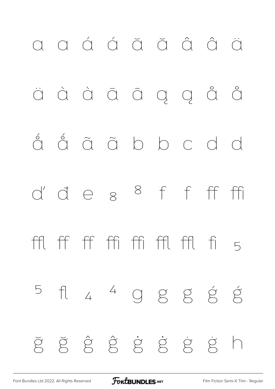# a a á á ă ă â â ä äààāāaggåå ååããbbc d d d'des 8 f f ff ffi 用 仟 仟 衎 仟 仟 斤 5 5 fl 4 4 9 g g g g ğğĝĝġġġġh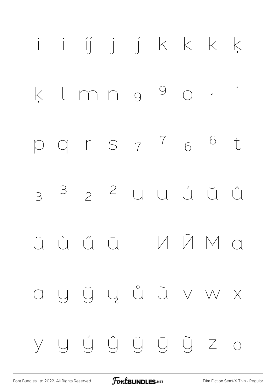

[Font Bundles Ltd 2022. All Rights Reserved](https://fontbundles.net/) **FoutBUNDLES.NET** [Film Fiction Semi-X Thin - Regular](https://fontbundles.net/)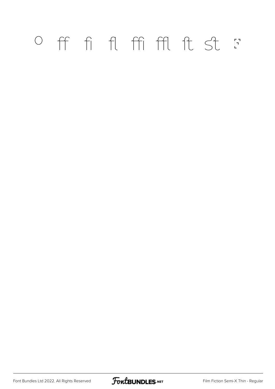#### Off fi fl ffi ffl ft St F

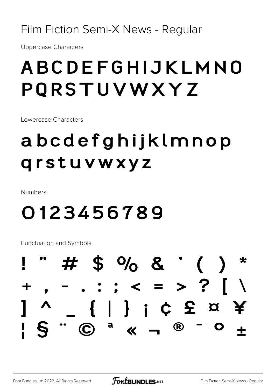#### Film Fiction Semi-X News - Regular

**Uppercase Characters** 

#### ABCDEFGHIJKLMNO PQRSTUVWXYZ

Lowercase Characters

#### abcdefghijklmnop grstuvwxyz

**Numbers** 

#### 0123456789

Punctuation and Symbols

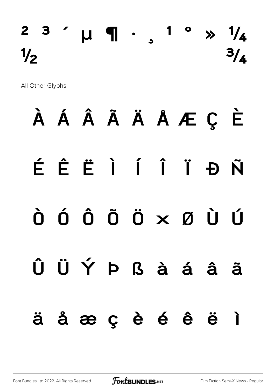#### $2 3$  ´ µ ¶ ·  $\,$   $1 \,$   $\circ \,$   $\,$   $\frac{1}{4}$  $\frac{1}{2}$  ,  $\frac{3}{4}$

All Other Glyphs

## À Á Â Ã Ä Å Æ Ç È É Ê Ë Ì Í Î Ï Ð Ñ Ò Ó Ô Õ Ö × Ø Ù Ú Û Ü Ý Þ ß à á â ã ä å æ ç è é ê ë ì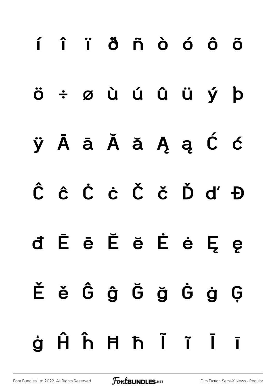# í î ï ð ñ ò ó ô õ ö ÷ ø ù ú û ü ý þ ÿ Ā ā Ă ă Ą ą Ć ć Ĉ ĉ Ċ ċ Č č Ď ď Đ đ Ē ē Ĕ ĕ Ė ė Ę ę Ě ě Ĝ ĝ Ğ ğ Ġ ġ Ģ ģ Ĥ ĥ Ħ ħ Ĩ ĩ Ī ī

[Font Bundles Ltd 2022. All Rights Reserved](https://fontbundles.net/) **FoutBUNDLES.NET** [Film Fiction Semi-X News - Regular](https://fontbundles.net/)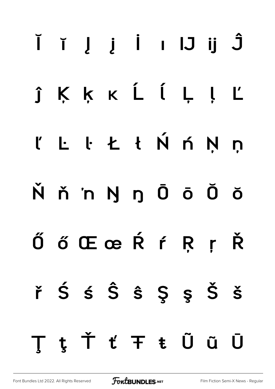### Č i l j i ı lJ ij Ĵ ĵ K K K Ĺ ĺ Ļ ļ Ľ L l L l Ń ń  $\mathbf{r}$ Ņņ Ňň'nŊŋŌōŎŏ ŐőŒœŔŕŖŗŘ řŚśŜŝŞşŠš ţŤťŦŧŨũŪ T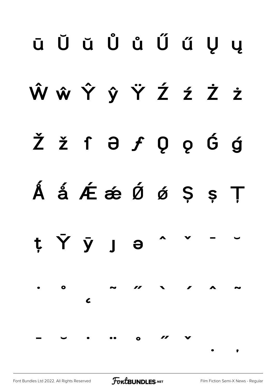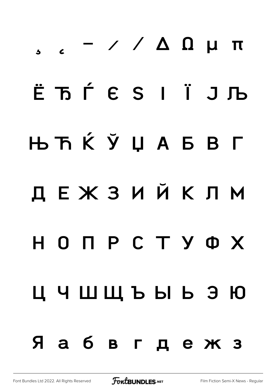# $-$  /  $/$  Δ Ω μ π Ё Ђ Ѓ Є Ѕ І Ї Ј Љ Њ Ћ Ќ Ў Џ А Б В Г Д Е Ж З И Й К Л М Н О П Р С Т У Ф Х Ц Ч Ш Щ Ъ Ы Ь Э Ю Я а б в г д е ж з

[Font Bundles Ltd 2022. All Rights Reserved](https://fontbundles.net/) **FoutBUNDLES.NET** [Film Fiction Semi-X News - Regular](https://fontbundles.net/)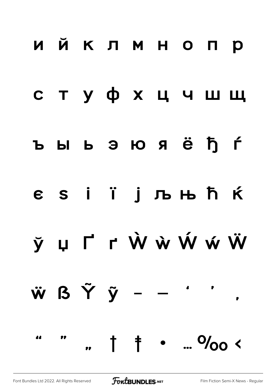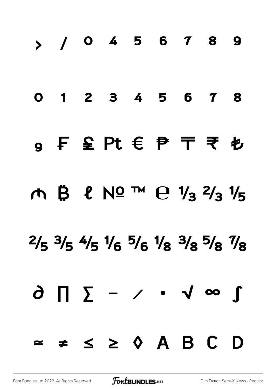# > / 0 4 5 6 7 8 9 O 1 2 3 4 5 6 7 8 ₉ ₣ ₤ ₧ € ₱ ₸ ₹ ₺ ₼ ₿ ℓ № ™ ℮ ½ ½ ½  $2/5$   $3/5$   $4/5$   $1/6$   $5/6$   $1/8$   $3/8$   $5/8$   $1/8$ ∂ ∏ ∑ − ∕ ∙ √ ∞ ∫ ≈ ≠ ≤ ≥ ◊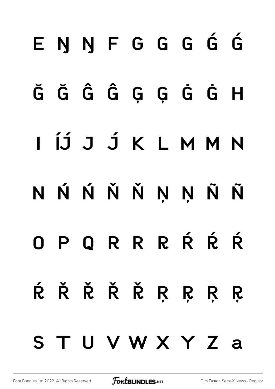### ENNFGGGGG

### ĞĞĜĜGĢĠĠH

#### I Í J J K L M M N

### NŃŃŇŇŅŅÑÑ

### OPORRRŔŔ

## ŔŘŘŘŘRRRR STUVWXYZa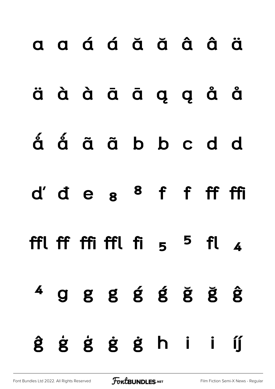### a a á á ă ă â ä

#### äààāāąąåå

- á á ã ã b b c d d
- d'des 8 f f ff ffi
- ffl ff ffi ffl fi  $5$   $5$  fl  $4$ 
	- $4$  g g g g g g g g ĝ ġ ġ ġ ġ h i íj́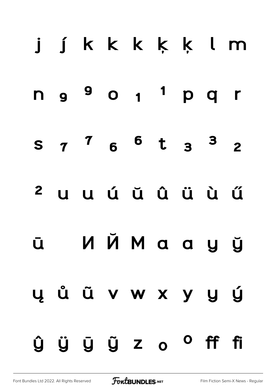# j j k k k k k l m n 9 9 0 1 <sup>1</sup> p q r  $S$   $7$   $7$   $6$   $6$   $t$   $3$   $3$   $2$ <sup>2</sup> uuú ŭ û ü ù ű й ИЙМаауў u ů ũ v w x y y ý  $\hat{y}$   $\hat{y}$   $\hat{y}$   $\hat{z}$  o  $\theta$  ff fi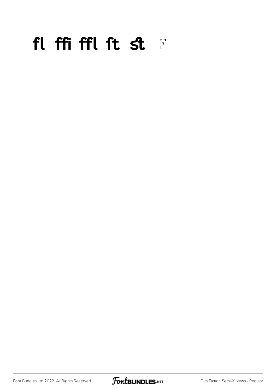#### fl ffi ffl ft st

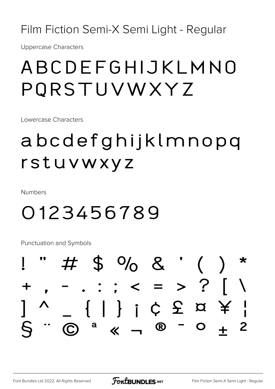Film Fiction Semi-X Semi Light - Regular

**Uppercase Characters** 

#### ABCDEFGHIJKLMNO PQRSTUVWXYZ

Lowercase Characters

#### abcdefghijklmnopq rstuvwxyz

**Numbers** 

#### 0123456789

Punctuation and Symbols

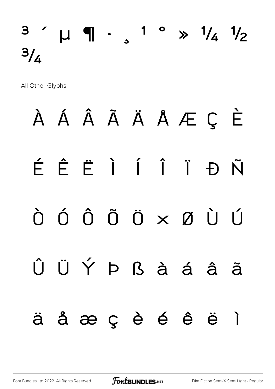#### $3$   $\prime$   $\mu$   $\eta$   $\cdot$   $\,$   $\,$   $\,$   $\frac{1}{2}$   $\frac{1}{4}$   $\frac{1}{2}$  $3/4$

All Other Glyphs

## À Á Â Ã Ä Å Æ Ç È É Ê Ë Ì Í Î Ï Ð Ñ Ò Ó Ô Õ Ö × Ø Ù Ú Û Ü Ý Þ ß à á â ã ä å æ ç è é ê ë ì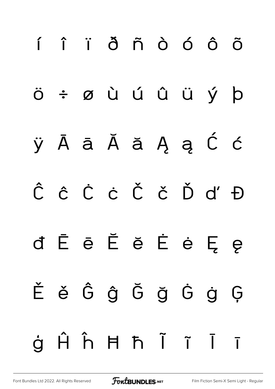# í î ï ð ñ ò ó ô õ ö ÷ ø ù ú û ü ý þ ÿ Ā ā Ă ă Ą ą Ć ć Ĉ ĉ Ċ ċ Č č Ď ď Đ đ Ē ē Ĕ ĕ Ė ė Ę ę Ě ě Ĝ ĝ Ğ ğ Ġ ġ Ģ ģ Ĥ ĥ Ħ ħ Ĩ ĩ Ī ī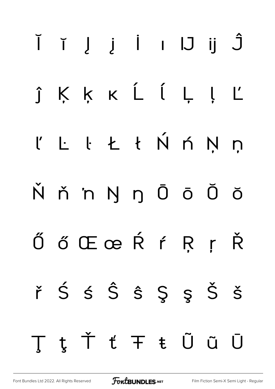### ĬĭJjİIIJijĴ ĵ K K K Ĺ ĺ Ļ ļ  $\mathcal{L}$ L L Ł Ł Ń ń Ņ ņ N ň 'n Ŋ ŋ Ō ō Ŏ Ŏ ŐőŒœŔŕŖŗŘ řŚśŜŜŞŞŠŠ t Ť ť Ŧ ŧ Ũ ũ **U**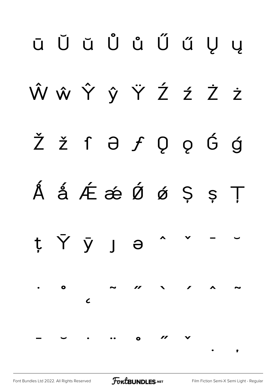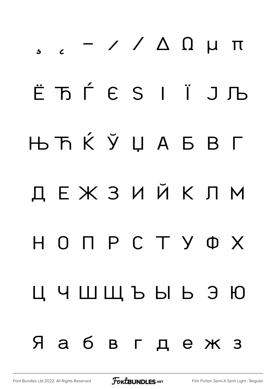# $\frac{1}{2}$   $\frac{1}{2}$   $\frac{1}{2}$   $\frac{1}{2}$   $\frac{1}{2}$   $\frac{1}{2}$   $\frac{1}{2}$   $\frac{1}{2}$   $\frac{1}{2}$   $\frac{1}{2}$   $\frac{1}{2}$   $\frac{1}{2}$   $\frac{1}{2}$   $\frac{1}{2}$   $\frac{1}{2}$   $\frac{1}{2}$   $\frac{1}{2}$   $\frac{1}{2}$   $\frac{1}{2}$   $\frac{1}{2}$   $\frac{1}{2}$   $\frac{1}{2}$  Ё Ђ Ѓ Є Ѕ І Ї Ј Љ Њ Ћ Ќ Ў Џ А Б В Г Д Е Ж З И Й К Л М Н О П Р С Т У Ф Х Ц Ч Ш Щ Ъ Ы Ь Э Ю Я а б в г д е ж з

[Font Bundles Ltd 2022. All Rights Reserved](https://fontbundles.net/) **FoutBUNDLES.NET** [Film Fiction Semi-X Semi Light - Regular](https://fontbundles.net/)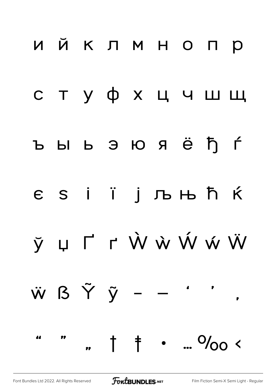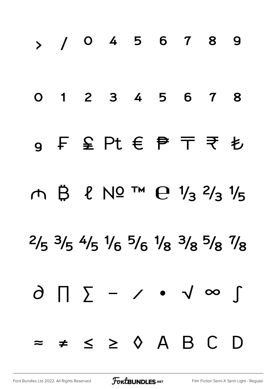|  | > / 0 4 5 6 7 8 9                                                                                                             |  |  |  |
|--|-------------------------------------------------------------------------------------------------------------------------------|--|--|--|
|  | 0 1 2 3 4 5 6 7 8                                                                                                             |  |  |  |
|  | g F 全 Pt € ₱ 〒 ₹ も                                                                                                            |  |  |  |
|  | $M \overset{B}{\rightarrow} \ell N 2^{TM} \overset{C}{\rightarrow} \frac{1}{3} \frac{2}{3} \frac{1}{5}$                       |  |  |  |
|  | $\frac{2}{5}$ $\frac{3}{5}$ $\frac{4}{5}$ $\frac{1}{6}$ $\frac{5}{6}$ $\frac{1}{8}$ $\frac{3}{8}$ $\frac{5}{8}$ $\frac{7}{8}$ |  |  |  |
|  |                                                                                                                               |  |  |  |
|  | $\approx$ $\neq$ $\leq$ $\geq$ $\Diamond$ A B C D                                                                             |  |  |  |

[Font Bundles Ltd 2022. All Rights Reserved](https://fontbundles.net/) **FoutBUNDLES.NET** [Film Fiction Semi-X Semi Light - Regular](https://fontbundles.net/)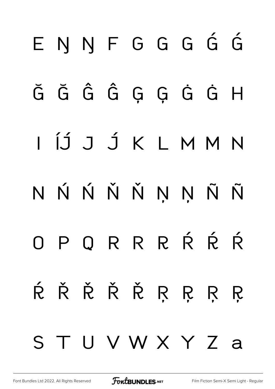## ENNFGGGGG Ğ Ğ Ĝ Ĝ Ģ Ģ Ġ Ġ H ÍJ J J K L M M N NŃŃŇŇŅŅÑÑ PORRRŔŔ  $\bigcap$ ŔŘŘŘŘRRRR TUVWXYZa S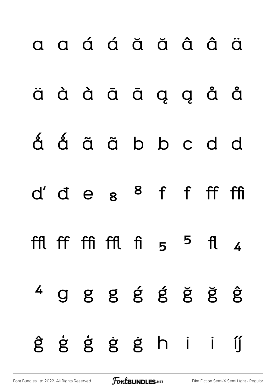## a a á á ă ă â â ä äààāāąąåå á á ã ã b b c d d d'des 8 f f ff ffi ffl ff ffi ffl fi 5 5 fl 4

 $4$  g g g g g g g g ĝ ġ ġ ġ ġ h i i ÍÍ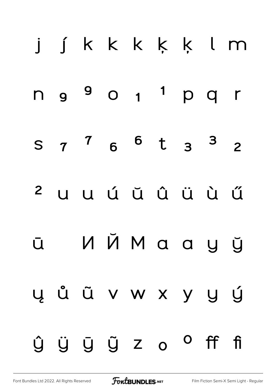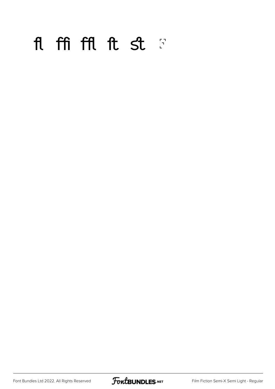#### fl ffi ffl ft st F

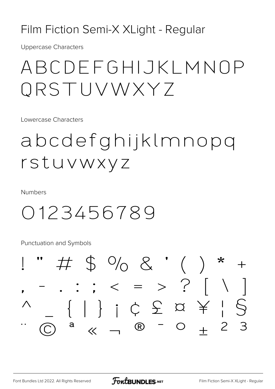#### Film Fiction Semi-X XLight - Regular

**Uppercase Characters** 

#### ABCDEFGHIJKLMNOP ORSTUVWXYZ

Lowercase Characters

#### abcdefghijklmnopq rstuvwxyz

**Numbers** 

0123456789

Punctuation and Symbols

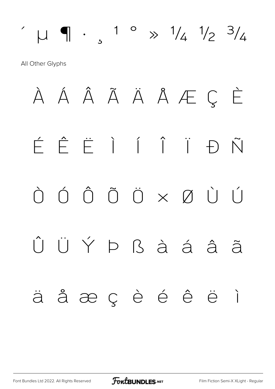$\mu$   $\left| \begin{array}{ccc} 1 & 1 & 0 \\ 0 & 1 & 1 \end{array} \right| \rightarrow \frac{1}{4}$   $\frac{1}{2}$   $\frac{3}{4}$ All Other Glyphs À Á Â Ã Ä Å Æ Ç È ÉÊËÌÍÎĐÑ  $\begin{array}{ccccccccccccc} \hat{\bigcap} & \hat{\bigcap} & \hat{\bigcap} & \hat{\bigcap} & \hat{\bigcap} & \hat{\bigcap} & \times & \mathcal{Q} & \hat{\bigcup} & \hat{\bigcup} & \hat{\bigcap} & \hat{\bigcap} & \hat{\bigcap} & \hat{\bigcap} & \hat{\bigcap} & \hat{\bigcap} & \hat{\bigcap} & \hat{\bigcap} & \hat{\bigcap} & \hat{\bigcap} & \hat{\bigcap} & \hat{\bigcap} & \hat{\bigcap} & \hat{\bigcap} & \hat{\bigcap} & \hat{\bigcap} & \hat{\bigcap} & \hat{\bigcap} & \hat{\bigcap} & \hat{\bigcap} & \hat{\big$  $\hat{I}I$   $\hat{I}I$   $\hat{I}I$   $\hat{I}I$   $\hat{I}I$   $\hat{I}I$   $\hat{I}I$   $\hat{I}I$   $\hat{I}I$   $\hat{I}I$   $\hat{I}I$   $\hat{I}I$ äåæçèéêë  $\overrightarrow{ }$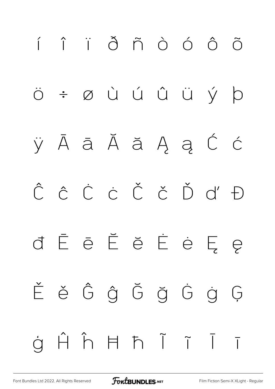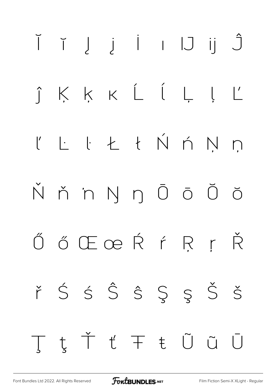![](_page_64_Figure_0.jpeg)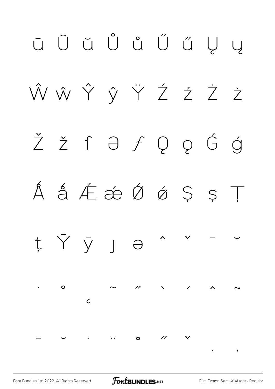![](_page_65_Figure_0.jpeg)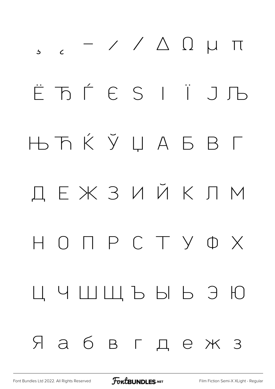![](_page_66_Figure_0.jpeg)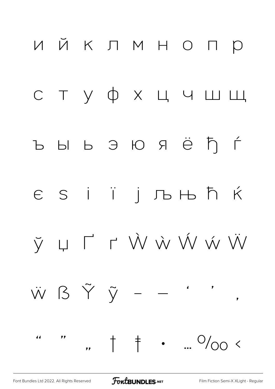![](_page_67_Figure_0.jpeg)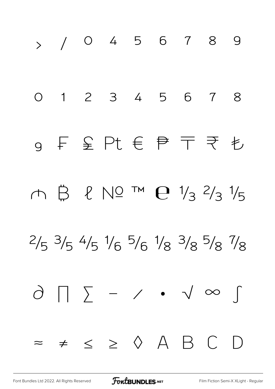![](_page_68_Picture_0.jpeg)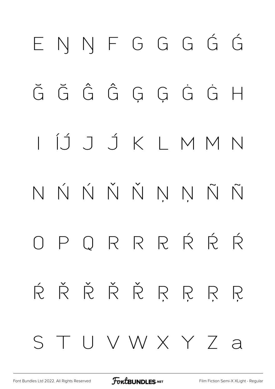### ENNFGGGG  $\check{G}$   $\check{G}$   $\hat{G}$   $\hat{G}$   $G$   $\hat{G}$   $\dot{G}$   $H$ ÍJ J J K L M M N NŃŃŇŇNŅÑÑ PORRRŔŔŔ  $\bigcap$ ŔŘŘŘŘRR R R TUVWXYZa  $S$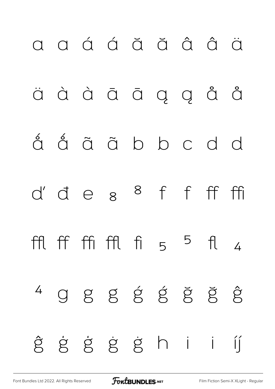## a a á á ă ă â â ä äààāāaggåå á á ã ã b b c d d d'des 8 f f ff ffi ffl ff ffi ffl fi  $5$   $^5$  fl  $\overline{4}$ 4 9 8 8 8 8 8 8 8 ĝġġġġġhii  $\iint$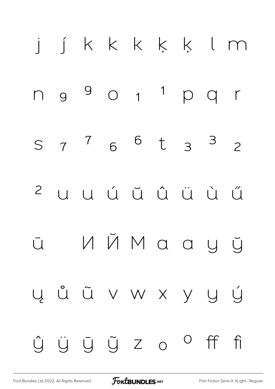![](_page_71_Figure_0.jpeg)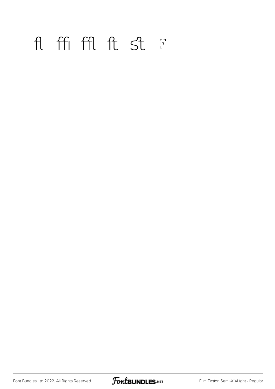#### fl ffi ffl ft st F

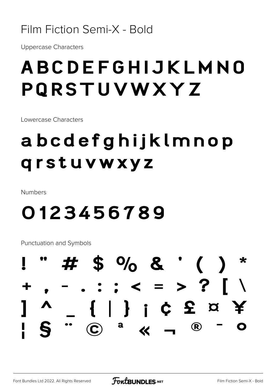#### Film Fiction Semi-X - Bold

**Uppercase Characters** 

### ABCDEFGHIJKLMNO PQRSTUVWXYZ

Lowercase Characters

### abcdefghijklmnop qrstuvwxyz

Numbers

#### 0123456789

**Punctuation and Symbols** 

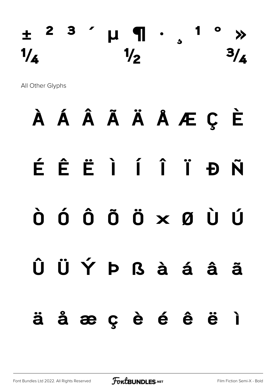### **± ² ³ ´ µ ¶ · ¸ ¹ º »**  $\frac{1}{4}$   $\frac{1}{2}$   $\frac{3}{4}$

All Other Glyphs

### **À Á Â Ã Ä Å Æ Ç È**

### **É Ê Ë Ì Í Î Ï Ð Ñ**

### **Ò Ó Ô Õ Ö × Ø Ù Ú**

# **Û Ü Ý Þ ß à á â ã**

#### **ä å æ ç è é ê ë ì**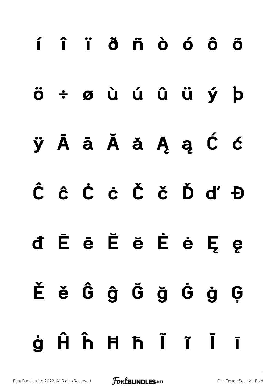|  | í î ï ð ñ ò ó ô õ |  |  |  |
|--|-------------------|--|--|--|
|  | ö÷øùúûüý þ        |  |  |  |
|  | ÿĀā Ă ă Ą ą Ć ć   |  |  |  |
|  | ĈĉČċČčĎďĐ         |  |  |  |
|  | d Ē ē Ĕ ĕ Ė ė Ę ę |  |  |  |
|  | Ěě Ĝĝ Ğ ğ Ġ ġ Ģ   |  |  |  |
|  | ġĤĥĦħĨïĪī         |  |  |  |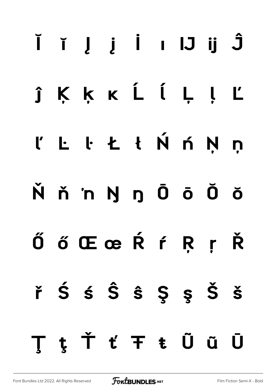## Č i J j İ ı IJ ij Ĵ ĵ K K K Ĺ ĺ Ļ ḷ Ľ "L l Ł ł Ń ń Ņņ N ň 'n Ŋ ŋ Ō ō Ŏ ŏ ŐőŒœŔŕŖŗŘ  $\check{r}$   $\acute{S}$   $\acute{S}$   $\hat{S}$   $\acute{S}$   $\acute{S}$   $\acute{S}$   $\check{S}$   $\check{S}$ ţŤťŦŧŨũŪ T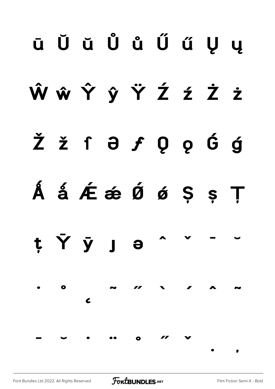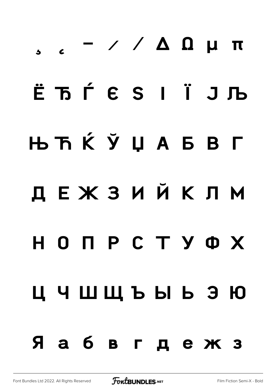## $\mu$  14  $\Omega$   $\mu$   $\sigma$ ЁЋЃЄЅ I Ї ЈЉ ЊЋЌЎЏАБВГ ДЕЖЗИЙКЛМ HONPCTYOX ЦЧШЩЪЫЬЭЮ Яабвгдежз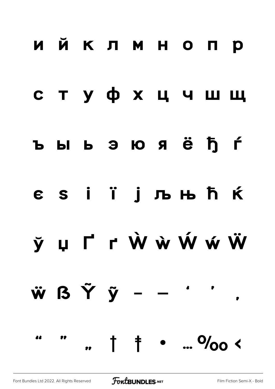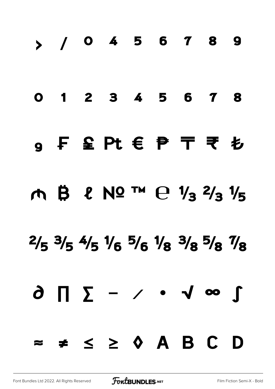# **› ⁄ ⁰ ⁴ ⁵ ⁶ ⁷ ⁸ ⁹ ₀ ₁ ₂ ₃ ₄ ₅ ₆ ₇ ₈ ₉ ₣ ₤ ₧ € ₱ ₸ ₹ ₺ ₼ ₿ ℓ № ™ ℮ ⅓ ⅔ ⅕**  $\frac{2}{5}$   $\frac{3}{5}$   $\frac{4}{5}$   $\frac{1}{6}$   $\frac{5}{6}$   $\frac{1}{8}$   $\frac{3}{8}$   $\frac{5}{8}$   $\frac{7}{8}$ **∂ ∏ ∑ − ∕ ∙ √ ∞ ∫ ≈ ≠ ≤ ≥ ◊**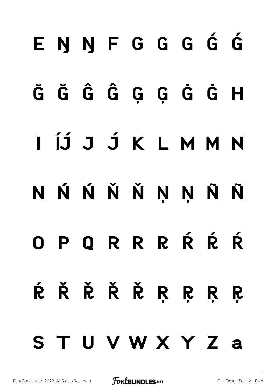### ENNFGGGGG

### ĞĞĜĜĢĢĠĠH

### I ÍJ́J J́K L M M N

### N Ń Ń Ň Ň Ņ Ņ Ñ Ñ

### OPORRRŔŔŔ

## ŔŘŘŘŘRRRR STUVWXYZa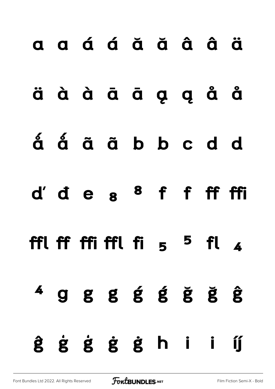## a a á á ă ă â â ä äà à ā ā a a a å å á á ã ã b b c d d d'des <sup>8</sup> f f ff ffi ffl ff ffi ffl fi  $5$   $^5$  fl  $\lambda$  $4$  g g g g g g g g ĝ ġ ġ ġ ġ h i íj́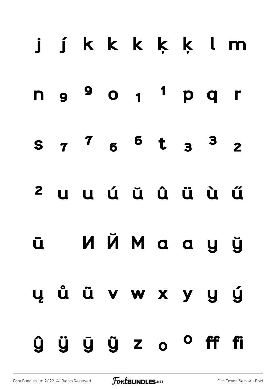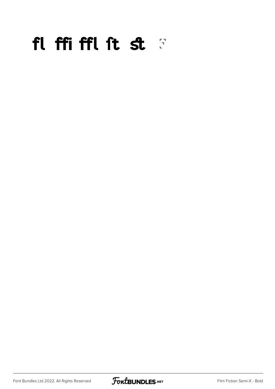#### fl ffi ffl ft st

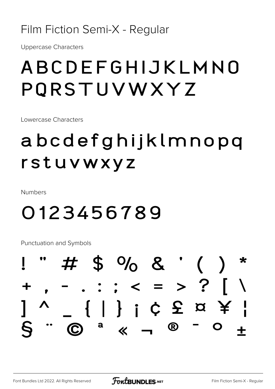#### Film Fiction Semi-X - Regular

**Uppercase Characters** 

### ABCDEFGHIJKLMNO PQRSTUVWXYZ

Lowercase Characters

### abcdefghijklmnopq rstuvwxyz

**Numbers** 

#### 0123456789

**Punctuation and Symbols** 

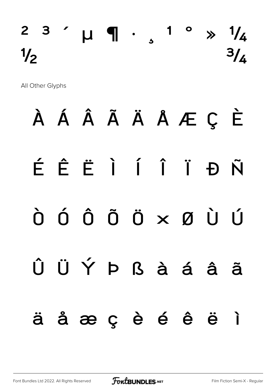### $2$  3  $'$   $\mu$  ¶  $\cdot$   $\frac{1}{3}$   $\cdot$   $\frac{1}{4}$  $\frac{1}{2}$   $\frac{3}{4}$

All Other Glyphs

## À Á Â Ã Ä Å Æ Ç È É Ê Ë Ì Í Î Ï Ð Ñ Ò Ó Ô Õ Ö × Ø Ù Ú Û Ü Ý Þ ß à á â ã ä å æ ç è é ê ë ì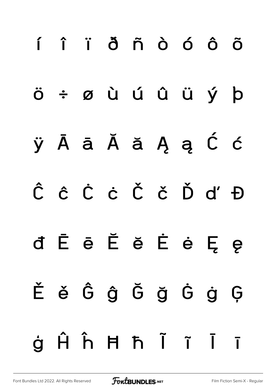# í î ï ð ñ ò ó ô õ ö ÷ ø ù ú û ü ý þ ÿ Ā ā Ă ă Ą ą Ć ć Ĉ ĉ Ċ ċ Č č Ď ď Đ đ Ē ē Ĕ ĕ Ė ė Ę ę Ě ě Ĝ ĝ Ğ ğ Ġ ġ Ģ ģ Ĥ ĥ Ħ ħ Ĩ ĩ Ī ī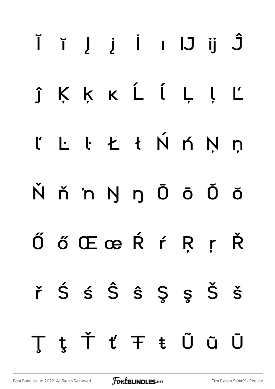### Ŭ ĭ J j İ ı IJ ij Ĵ ĵ K K K Ĺ ĺ Ļ ḷ Ľ t Ł ł Ń ń Ņ  $\mathfrak{l}'$  $\lfloor \cdot \rfloor$ ņ Ňňn Ŋ ŋ Ō ō Ŏ ŏ ŐőŒœŔŕŖŗŘ řŚśŜŝŞşŠš ţŤťŦŧŨũŪ T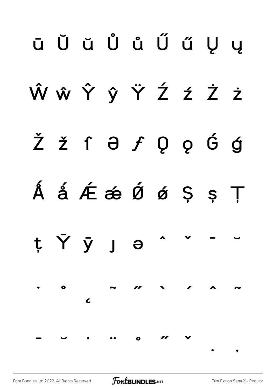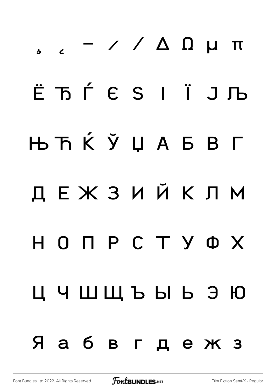## $\mu$  11  $\Omega$   $\Delta$   $\lambda$   $\mu$   $\pi$ ЁЂЃЄS I Ї ЈЉ ЊЋЌЎЦАБВГ ДЕЖЗИЙКЛМ HONPCTYOX ЦЧШШЪЫЬЭЮ Яабвгдежз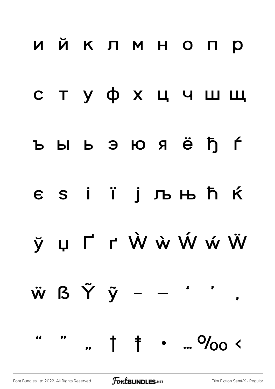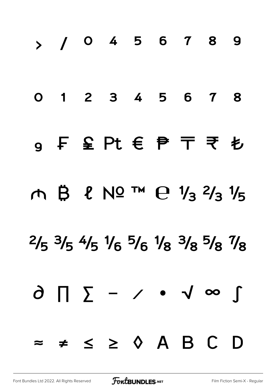|  | > / 0456789                                                                                 |  |  |  |
|--|---------------------------------------------------------------------------------------------|--|--|--|
|  | 0 1 2 3 4 5 6 7 8                                                                           |  |  |  |
|  | g F 全 Pt € ₱ 〒 ₹ も                                                                          |  |  |  |
|  | $M \overset{B}{\rightarrow} \ell N 2^{TM} \overset{C}{\rightarrow} \frac{1}{3} \frac{1}{5}$ |  |  |  |
|  | $2/5$ $3/5$ $4/5$ $1/6$ $5/6$ $1/8$ $3/8$ $5/8$ $1/8$                                       |  |  |  |
|  | $0 \cup \infty$ / $\setminus$ / $\infty$ /                                                  |  |  |  |
|  | $\approx$ $\neq$ $\leq$ $\geq$ $\Diamond$ A B C D                                           |  |  |  |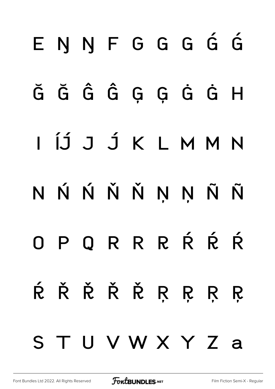### ENNFGGGGG

### Ğ Ğ Ĝ Ĝ Ģ Ģ Ġ Ġ H

### I ÍJ J J K L M M N

### NŃŃŇŇŅŅÑÑ

# OPORRRŔŔŔ ŔŘŘŘŘRRRR

### STUVWXYZa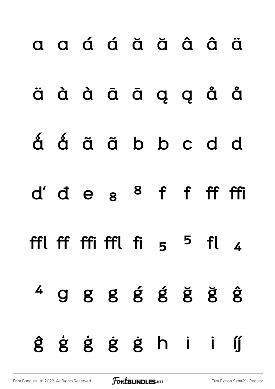## a a á á ă ă â ä

#### äààāāąąåå

- á á ã ã b b c d d
- d'des 8 f f ff ffi
- ffl ff ffi ffl fi  $5$   $5$  fl  $4$
- $4$  g g g g g g g g ĝ ġ ġ ġ ġ h i íj́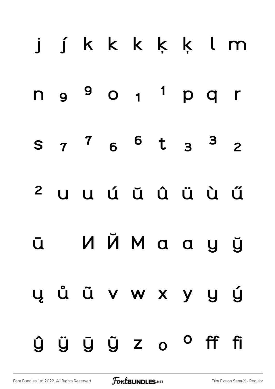|  |  | j j k k k k k l m                   |  |  |
|--|--|-------------------------------------|--|--|
|  |  | $n9$ $90$ $11$ $p1$ $q1$            |  |  |
|  |  | $S$ $7$ $7$ $6$ $6$ $t$ $3$ $3$ $2$ |  |  |
|  |  | <sup>2</sup> u u ú ŭ û ü ù ű        |  |  |
|  |  | й ИЙМаауў                           |  |  |
|  |  | ų ů ũ v w x y y ý                   |  |  |
|  |  | ŶŸJŨZo <sup>o</sup> fffi            |  |  |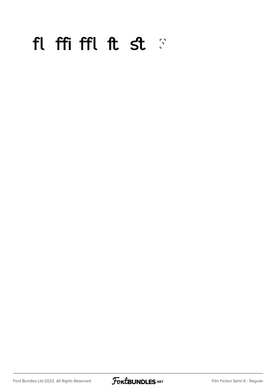#### fl ffi ffl ft st F

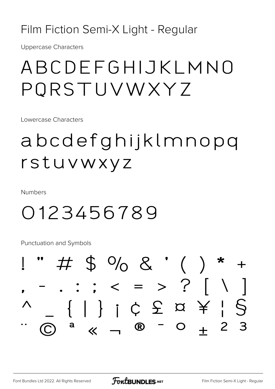#### Film Fiction Semi-X Light - Regular

**Uppercase Characters** 

#### ABCDEFGHIJKLMNO PORSTUVWXYZ

Lowercase Characters

### abcdefghijklmnopq rstuvwxyz

**Numbers** 

#### 0123456789

**Punctuation and Symbols** 

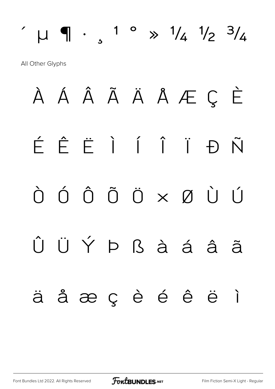## $\mu$  |  $\eta$  .  $1 \circ \frac{1}{2} \frac{1}{4} \frac{1}{2} \frac{3}{4}$ All Other Glyphs À Á Â Ã Ä Å Æ Ç È ÉÊËÌÍÎĐÑ  $\begin{array}{ccccccccccccccccc} \hat{C} & \hat{C} & \hat{C} & \hat{C} & \hat{C} & \hat{C} & \hat{C} & \hat{C} & \hat{C} & \hat{C} & \hat{C} & \hat{C} & \hat{C} & \hat{C} & \hat{C} & \hat{C} & \hat{C} & \hat{C} & \hat{C} & \hat{C} & \hat{C} & \hat{C} & \hat{C} & \hat{C} & \hat{C} & \hat{C} & \hat{C} & \hat{C} & \hat{C} & \hat{C} & \hat{C} & \hat{C} & \hat{C} & \hat{C} & \hat{C}$ Û Ü Ý Þ ß à á â ã äåæçèéêëì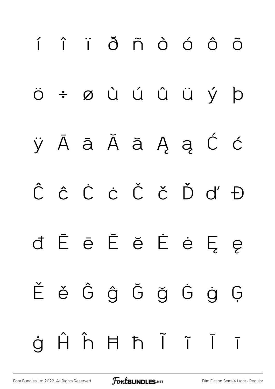# í î ï ð ñ ò ó ô õ ö ÷ ø ù ú û ü ý þ ÿ Ā ā Ă ă Ą ą Ć ć Ĉ ĉ Ċ ċ Č č Ď ď Đ đ Ē ē Ĕ ĕ Ė ė Ę ę Ě ě Ĝ ĝ Ğ ğ Ġ ġ Ģ ģ Ĥ ĥ Ħ ħ Ĩ ĩ Ī ī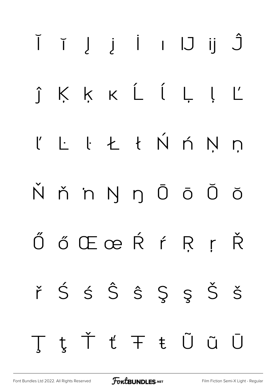### ĬĭĮjİIIJijĴ KKKĹĺĻļ  $\hat{I}$  $\frac{1}{2}$ L L Ł Ł Ń ń N  $\overline{D}$ N ň 'n Ŋ ŋ Ō ō Ŏ Ŏ ŐőŒœŔŕŖŗŘ řŚśŜŝŞşŠŠ ţŤťŦŧŨũŪ  $\top$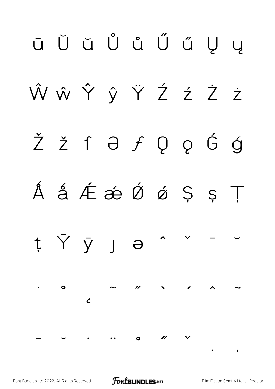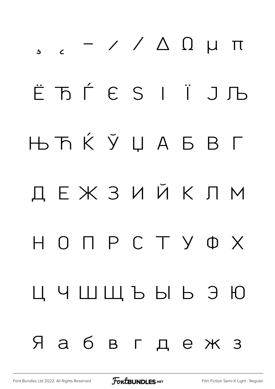## $\frac{1}{2}$   $\frac{1}{2}$   $\frac{1}{2}$   $\frac{1}{2}$   $\frac{1}{2}$   $\frac{1}{2}$   $\frac{1}{2}$   $\frac{1}{2}$   $\frac{1}{2}$   $\frac{1}{2}$   $\frac{1}{2}$   $\frac{1}{2}$   $\frac{1}{2}$   $\frac{1}{2}$   $\frac{1}{2}$   $\frac{1}{2}$   $\frac{1}{2}$   $\frac{1}{2}$   $\frac{1}{2}$   $\frac{1}{2}$   $\frac{1}{2}$   $\frac{1}{2}$  Ё Ђ Ѓ Є Ѕ І Ї Ј Љ Њ Ћ Ќ Ў Џ А Б В Г Д Е Ж З И Й К Л М Н О П Р С Т У Ф Х Ц Ч Ш Щ Ъ Ы Ь Э Ю Я а б в г д е ж з

[Font Bundles Ltd 2022. All Rights Reserved](https://fontbundles.net/) **FoutBUNDLES.NET** [Film Fiction Semi-X Light - Regular](https://fontbundles.net/)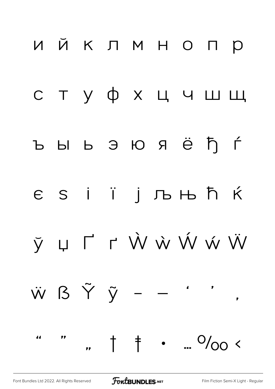

**FoutBUNDLES**.NET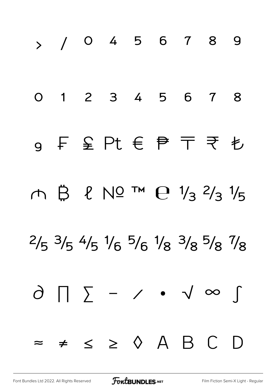

[Font Bundles Ltd 2022. All Rights Reserved](https://fontbundles.net/) **FoutBUNDLES.NET** [Film Fiction Semi-X Light - Regular](https://fontbundles.net/)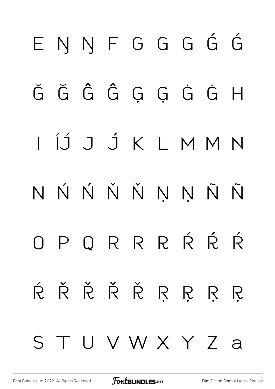# ENNFGGGGG Ğ Ğ Ĝ Ĝ Ģ Ģ Ġ Ġ H ÍJ J J K L M M N NŃŃŇŇŅŅÑ OPORRRŔŔ ŔŘŘŘŘRRRR STUVWXYZa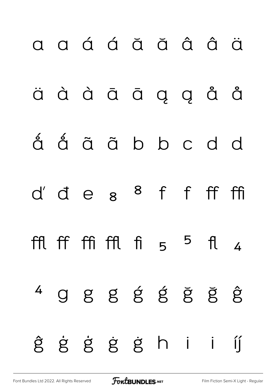# a a á á ă ă â â ä äààāāąąåå á á ã ã b b c d d d'des 8 f f ff ffi ffl ff ffi ffl fi  $5$   $^5$  fl  $_4$  $4$  g g g g g g g g ĝġġġġġhi íj

[Font Bundles Ltd 2022. All Rights Reserved](https://fontbundles.net/) **FoutBUNDLES.NET** [Film Fiction Semi-X Light - Regular](https://fontbundles.net/)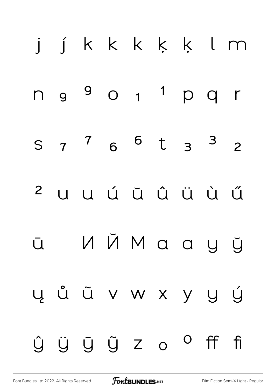